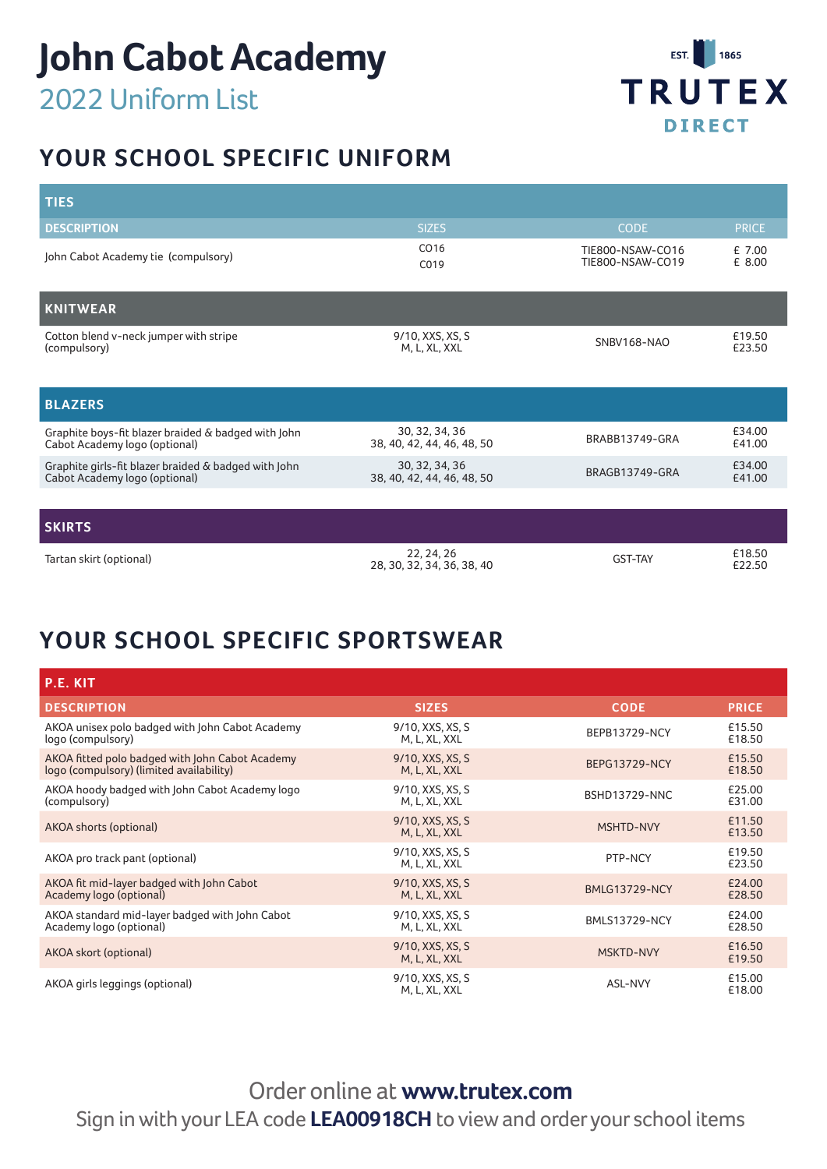

# **YOUR SCHOOL SPECIFIC UNIFORM**

| <b>TIES</b>                                                                           |                                              |                                      |                  |
|---------------------------------------------------------------------------------------|----------------------------------------------|--------------------------------------|------------------|
| <b>DESCRIPTION</b>                                                                    | <b>SIZES</b>                                 | <b>CODE</b>                          | <b>PRICE</b>     |
| John Cabot Academy tie (compulsory)                                                   | CO <sub>16</sub><br>C019                     | TIE800-NSAW-CO16<br>TIE800-NSAW-CO19 | £7.00<br>£ 8.00  |
| KNITWEAR                                                                              |                                              |                                      |                  |
| Cotton blend v-neck jumper with stripe<br>(compulsory)                                | 9/10, XXS, XS, S<br>M, L, XL, XXL            | <b>SNBV168-NAO</b>                   | £19.50<br>£23.50 |
| <b>BLAZERS</b>                                                                        |                                              |                                      |                  |
| Graphite boys-fit blazer braided & badged with John<br>Cabot Academy logo (optional)  | 30, 32, 34, 36<br>38, 40, 42, 44, 46, 48, 50 | BRABB13749-GRA                       | £34.00<br>£41.00 |
| Graphite girls-fit blazer braided & badged with John<br>Cabot Academy logo (optional) | 30, 32, 34, 36<br>38, 40, 42, 44, 46, 48, 50 | BRAGB13749-GRA                       | £34.00<br>£41.00 |
|                                                                                       |                                              |                                      |                  |
| <b>SKIRTS</b>                                                                         |                                              |                                      |                  |
| Tartan skirt (optional)                                                               | 22, 24, 26<br>28, 30, 32, 34, 36, 38, 40     | <b>GST-TAY</b>                       | £18.50<br>£22.50 |

## **YOUR SCHOOL SPECIFIC SPORTSWEAR**

| P.E. KIT                                                                                    |                                   |                      |                  |
|---------------------------------------------------------------------------------------------|-----------------------------------|----------------------|------------------|
| <b>DESCRIPTION</b>                                                                          | <b>SIZES</b>                      | <b>CODE</b>          | <b>PRICE</b>     |
| AKOA unisex polo badged with John Cabot Academy<br>logo (compulsory)                        | 9/10, XXS, XS, S<br>M, L, XL, XXL | <b>BEPB13729-NCY</b> | £15.50<br>£18.50 |
| AKOA fitted polo badged with John Cabot Academy<br>logo (compulsory) (limited availability) | 9/10, XXS, XS, S<br>M, L, XL, XXL | <b>BEPG13729-NCY</b> | £15.50<br>£18.50 |
| AKOA hoody badged with John Cabot Academy logo<br>(compulsory)                              | 9/10, XXS, XS, S<br>M, L, XL, XXL | <b>BSHD13729-NNC</b> | £25.00<br>£31.00 |
| AKOA shorts (optional)                                                                      | 9/10, XXS, XS, S<br>M, L, XL, XXL | MSHTD-NVY            | £11.50<br>£13.50 |
| AKOA pro track pant (optional)                                                              | 9/10, XXS, XS, S<br>M, L, XL, XXL | PTP-NCY              | £19.50<br>£23.50 |
| AKOA fit mid-layer badged with John Cabot<br>Academy logo (optional)                        | 9/10, XXS, XS, S<br>M, L, XL, XXL | <b>BMLG13729-NCY</b> | £24.00<br>£28.50 |
| AKOA standard mid-layer badged with John Cabot<br>Academy logo (optional)                   | 9/10, XXS, XS, S<br>M, L, XL, XXL | <b>BMLS13729-NCY</b> | £24.00<br>£28.50 |
| AKOA skort (optional)                                                                       | 9/10, XXS, XS, S<br>M, L, XL, XXL | <b>MSKTD-NVY</b>     | £16.50<br>£19.50 |
| AKOA girls leggings (optional)                                                              | 9/10, XXS, XS, S<br>M, L, XL, XXL | ASL-NVY              | £15.00<br>£18.00 |

Order online at **www.trutex.com** Sign in with your LEA code **LEA00918CH** to view and order your school items